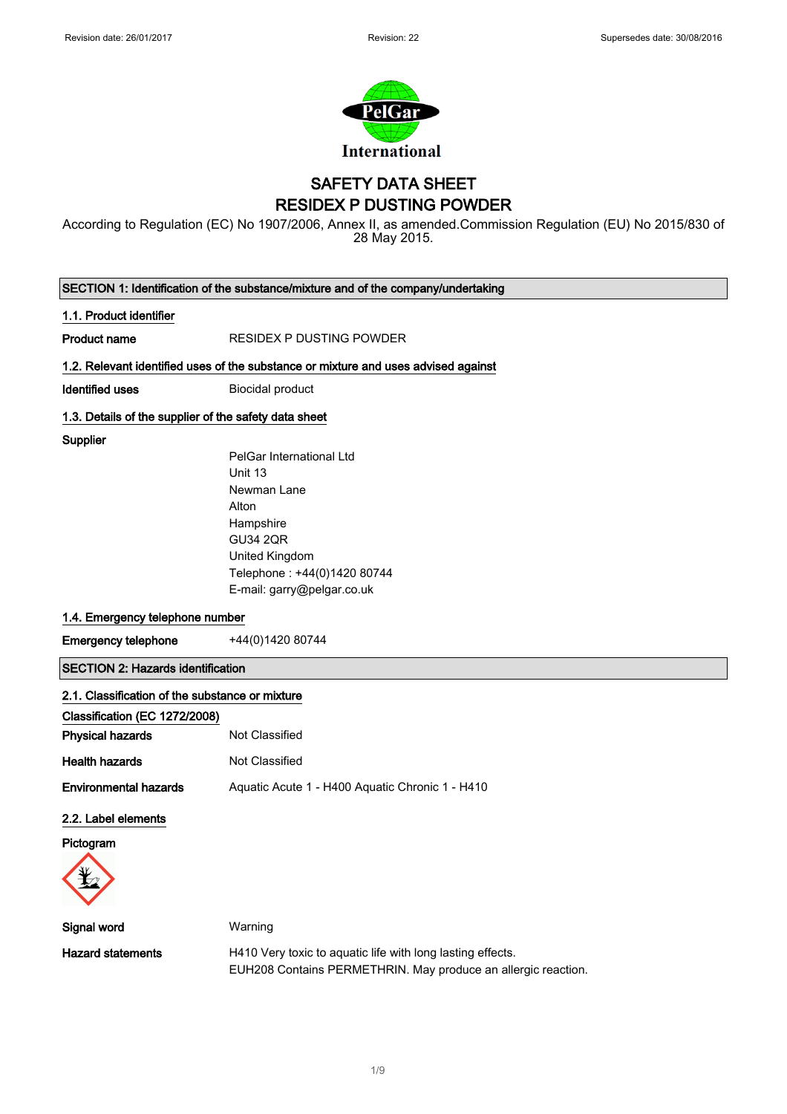

### SAFETY DATA SHEET RESIDEX P DUSTING POWDER

According to Regulation (EC) No 1907/2006, Annex II, as amended.Commission Regulation (EU) No 2015/830 of 28 May 2015.

SECTION 1: Identification of the substance/mixture and of the company/undertaking

#### 1.1. Product identifier

Product name RESIDEX P DUSTING POWDER

#### 1.2. Relevant identified uses of the substance or mixture and uses advised against

**Identified uses** Biocidal product

#### 1.3. Details of the supplier of the safety data sheet

**Supplier** 

PelGar International Ltd Unit 13 Newman Lane Alton Hampshire GU34 2QR United Kingdom Telephone : +44(0)1420 80744 E-mail: garry@pelgar.co.uk

### 1.4. Emergency telephone number

Emergency telephone  $+44(0)142080744$ 

SECTION 2: Hazards identification

| 2.1. Classification of the substance or mixture |                                                 |
|-------------------------------------------------|-------------------------------------------------|
| Classification (EC 1272/2008)                   |                                                 |
| <b>Physical hazards</b>                         | Not Classified                                  |
| <b>Health hazards</b>                           | Not Classified                                  |
| <b>Environmental hazards</b>                    | Aguatic Acute 1 - H400 Aguatic Chronic 1 - H410 |

### 2.2. Label elements

Pictogram



| Signal word       | Warning                                                       |
|-------------------|---------------------------------------------------------------|
| Hazard statements | H410 Very toxic to aguatic life with long lasting effects.    |
|                   | EUH208 Contains PERMETHRIN. May produce an allergic reaction. |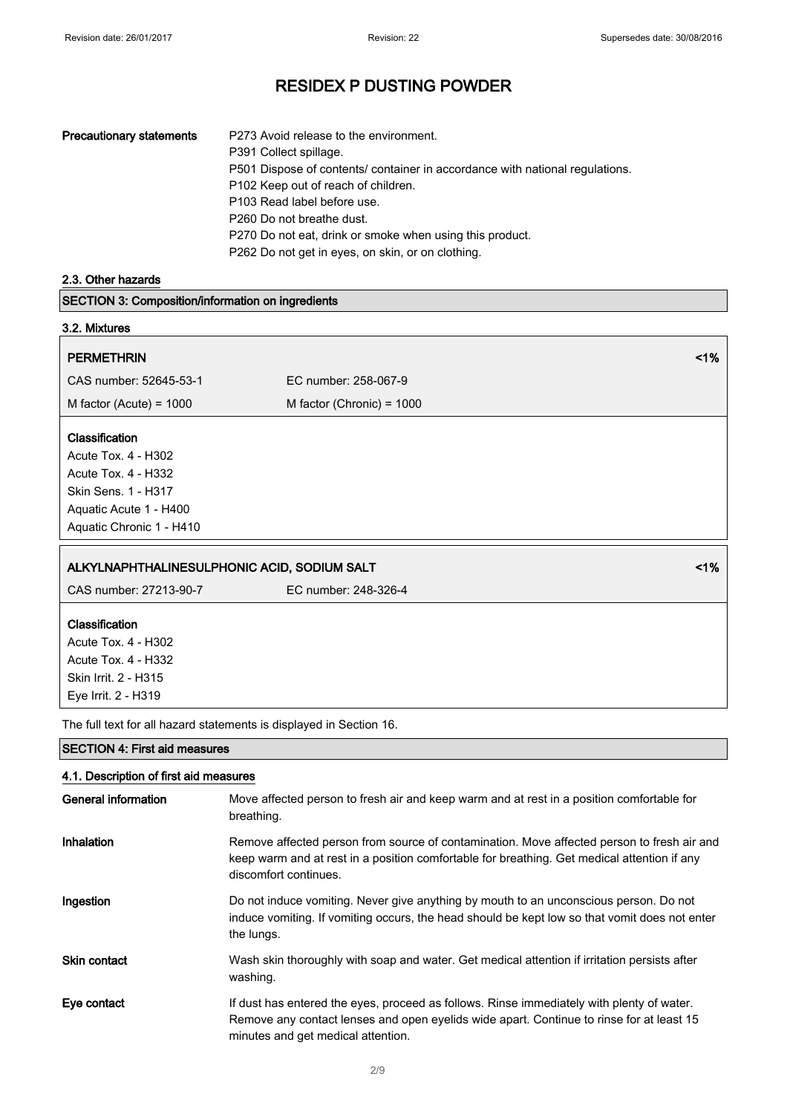| <b>Precautionary statements</b> | P273 Avoid release to the environment.                                       |
|---------------------------------|------------------------------------------------------------------------------|
|                                 | P391 Collect spillage.                                                       |
|                                 | P501 Dispose of contents/ container in accordance with national regulations. |
|                                 | P <sub>102</sub> Keep out of reach of children.                              |
|                                 | P103 Read label before use.                                                  |
|                                 | P <sub>260</sub> Do not breathe dust.                                        |
|                                 | P270 Do not eat, drink or smoke when using this product.                     |
|                                 | P262 Do not get in eyes, on skin, or on clothing.                            |

2.3. Other hazards

SECTION 3: Composition/information on ingredients

| 3.2. Mixtures                                |                             |                 |
|----------------------------------------------|-----------------------------|-----------------|
| <b>PERMETHRIN</b>                            |                             | 1%              |
| CAS number: 52645-53-1                       | EC number: 258-067-9        |                 |
| M factor (Acute) = $1000$                    | M factor (Chronic) = $1000$ |                 |
| <b>Classification</b>                        |                             |                 |
| Acute Tox. 4 - H302                          |                             |                 |
| Acute Tox. 4 - H332                          |                             |                 |
| Skin Sens. 1 - H317                          |                             |                 |
| Aquatic Acute 1 - H400                       |                             |                 |
| Aquatic Chronic 1 - H410                     |                             |                 |
| ALKYLNAPHTHALINESLILPHONIC ACID SODILIM SALT |                             | 10 <sup>k</sup> |

| ALIMENT ITITIALINE OOLI TIONIO AOID, OODIOM OALT                    |                      | 31 W |
|---------------------------------------------------------------------|----------------------|------|
| CAS number: 27213-90-7                                              | EC number: 248-326-4 |      |
| <b>Classification</b>                                               |                      |      |
| Acute Tox. 4 - H302                                                 |                      |      |
| Acute Tox. 4 - H332                                                 |                      |      |
| Skin Irrit. 2 - H315                                                |                      |      |
| Eye Irrit. 2 - H319                                                 |                      |      |
| The full text for all hazard statements is displayed in Section 16. |                      |      |
|                                                                     |                      |      |

SECTION 4: First aid measures

### 4.1. Description of first aid measures

| <b>General information</b> | Move affected person to fresh air and keep warm and at rest in a position comfortable for<br>breathing.                                                                                                                     |
|----------------------------|-----------------------------------------------------------------------------------------------------------------------------------------------------------------------------------------------------------------------------|
| Inhalation                 | Remove affected person from source of contamination. Move affected person to fresh air and<br>keep warm and at rest in a position comfortable for breathing. Get medical attention if any<br>discomfort continues.          |
| Ingestion                  | Do not induce vomiting. Never give anything by mouth to an unconscious person. Do not<br>induce vomiting. If vomiting occurs, the head should be kept low so that vomit does not enter<br>the lungs.                        |
| <b>Skin contact</b>        | Wash skin thoroughly with soap and water. Get medical attention if irritation persists after<br>washing.                                                                                                                    |
| Eye contact                | If dust has entered the eyes, proceed as follows. Rinse immediately with plenty of water.<br>Remove any contact lenses and open eyelids wide apart. Continue to rinse for at least 15<br>minutes and get medical attention. |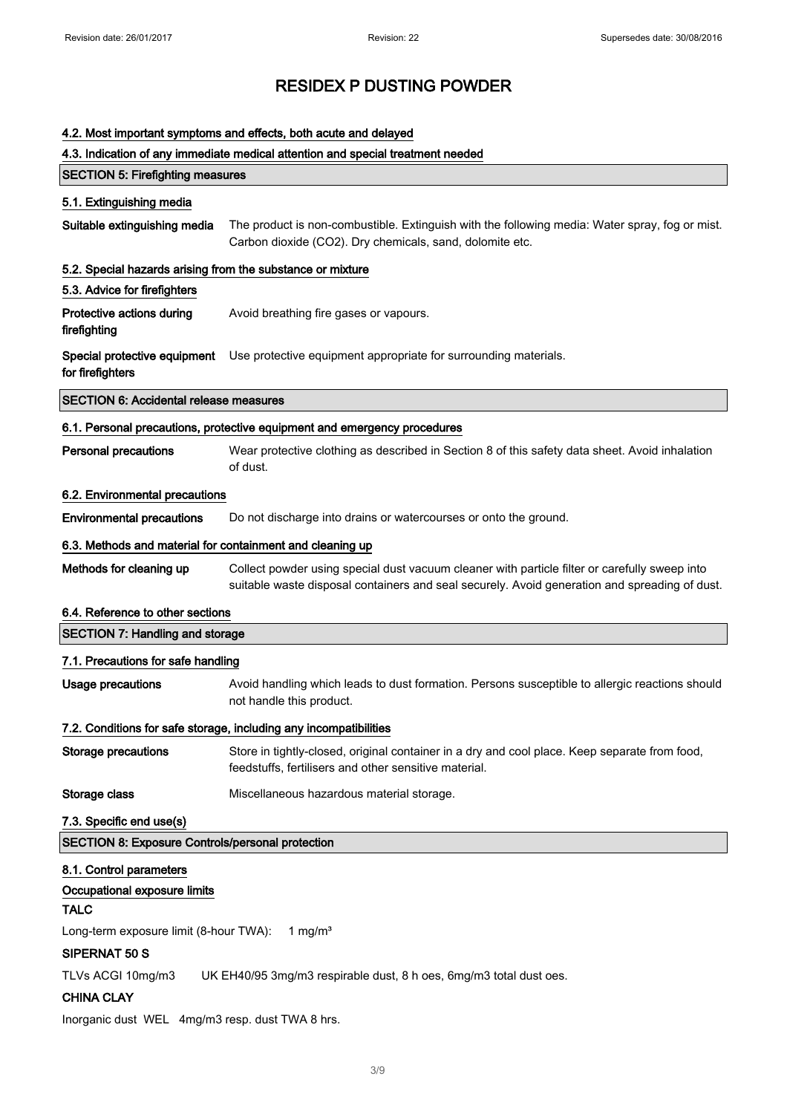|  | 4.2. Most important symptoms and effects, both acute and delayed        |  |
|--|-------------------------------------------------------------------------|--|
|  | 4.3. Indication of any immediate medical attention and special treatmen |  |

# ation of any immediate medical attention and special treatment needed SECTION 5: Firefighting measures 5.1. Extinguishing media Suitable extinguishing media The product is non-combustible. Extinguish with the following media: Water spray, fog or mist. Carbon dioxide (CO2). Dry chemicals, sand, dolomite etc. 5.2. Special hazards arising from the substance or mixture 5.3. Advice for firefighters Protective actions during firefighting Avoid breathing fire gases or vapours. Special protective equipment Use protective equipment appropriate for surrounding materials. for firefighters SECTION 6: Accidental release measures 6.1. Personal precautions, protective equipment and emergency procedures Personal precautions Wear protective clothing as described in Section 8 of this safety data sheet. Avoid inhalation of dust. 6.2. Environmental precautions Environmental precautions Do not discharge into drains or watercourses or onto the ground. 6.3. Methods and material for containment and cleaning up Methods for cleaning up Collect powder using special dust vacuum cleaner with particle filter or carefully sweep into suitable waste disposal containers and seal securely. Avoid generation and spreading of dust. 6.4. Reference to other sections SECTION 7: Handling and storage 7.1. Precautions for safe handling Usage precautions **Avoid handling which leads to dust formation**. Persons susceptible to allergic reactions should not handle this product. 7.2. Conditions for safe storage, including any incompatibilities Storage precautions Store in tightly-closed, original container in a dry and cool place. Keep separate from food, feedstuffs, fertilisers and other sensitive material. Storage class Miscellaneous hazardous material storage. 7.3. Specific end use(s) SECTION 8: Exposure Controls/personal protection 8.1. Control parameters Occupational exposure limits TALC Long-term exposure limit (8-hour TWA): 1 mg/m<sup>3</sup> SIPERNAT 50 S

TLVs ACGI 10mg/m3 UK EH40/95 3mg/m3 respirable dust, 8 h oes, 6mg/m3 total dust oes.

### CHINA CLAY

Inorganic dust WEL 4mg/m3 resp. dust TWA 8 hrs.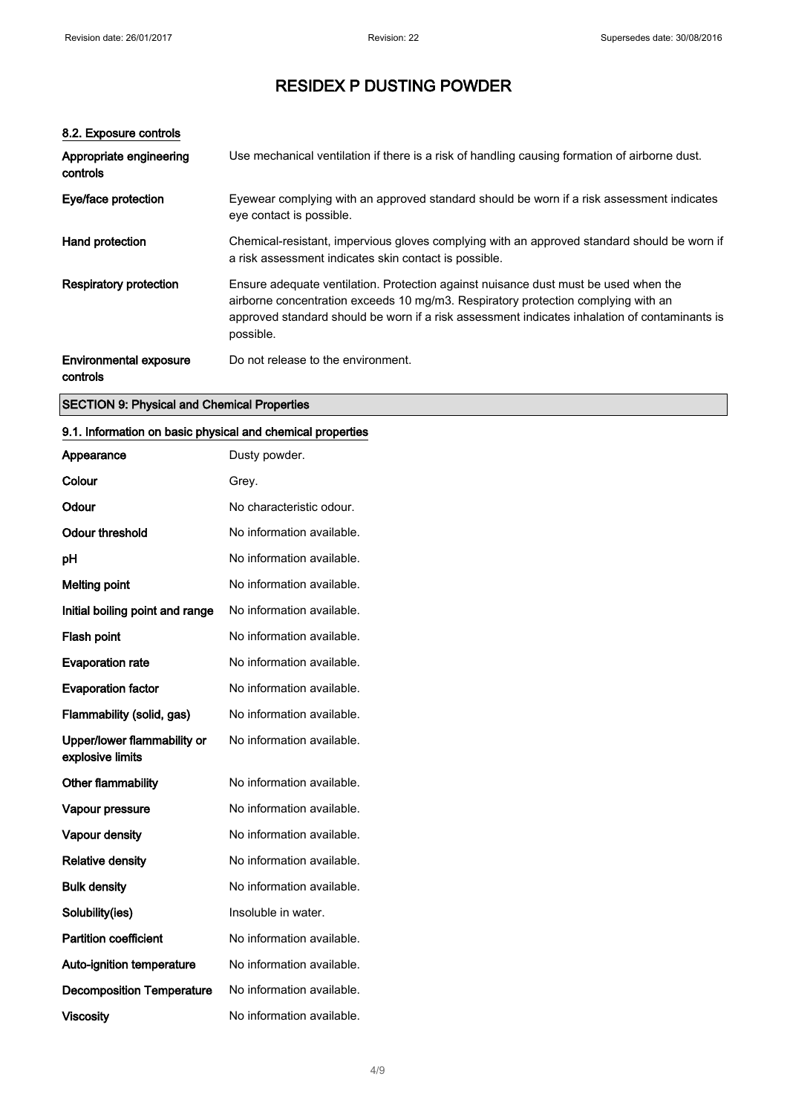### 8.2. Exposure controls

| Appropriate engineering<br>controls       | Use mechanical ventilation if there is a risk of handling causing formation of airborne dust.                                                                                                                                                                                          |
|-------------------------------------------|----------------------------------------------------------------------------------------------------------------------------------------------------------------------------------------------------------------------------------------------------------------------------------------|
| Eye/face protection                       | Eyewear complying with an approved standard should be worn if a risk assessment indicates<br>eye contact is possible.                                                                                                                                                                  |
| Hand protection                           | Chemical-resistant, impervious gloves complying with an approved standard should be worn if<br>a risk assessment indicates skin contact is possible.                                                                                                                                   |
| <b>Respiratory protection</b>             | Ensure adequate ventilation. Protection against nuisance dust must be used when the<br>airborne concentration exceeds 10 mg/m3. Respiratory protection complying with an<br>approved standard should be worn if a risk assessment indicates inhalation of contaminants is<br>possible. |
| <b>Environmental exposure</b><br>controls | Do not release to the environment.                                                                                                                                                                                                                                                     |

### SECTION 9: Physical and Chemical Properties

### 9.1. Information on basic physical and chemical properties

| Appearance                                      | Dusty powder.             |
|-------------------------------------------------|---------------------------|
| Colour                                          | Grey.                     |
| Odour                                           | No characteristic odour.  |
| <b>Odour threshold</b>                          | No information available. |
| рH                                              | No information available. |
| <b>Melting point</b>                            | No information available. |
| Initial boiling point and range                 | No information available. |
| Flash point                                     | No information available. |
| <b>Evaporation rate</b>                         | No information available. |
| <b>Evaporation factor</b>                       | No information available. |
| Flammability (solid, gas)                       | No information available. |
| Upper/lower flammability or<br>explosive limits | No information available. |
| Other flammability                              | No information available. |
| Vapour pressure                                 | No information available. |
| Vapour density                                  | No information available. |
| <b>Relative density</b>                         | No information available. |
| <b>Bulk density</b>                             | No information available. |
| Solubility(ies)                                 | Insoluble in water.       |
| <b>Partition coefficient</b>                    | No information available. |
| <b>Auto-ignition temperature</b>                | No information available. |
| <b>Decomposition Temperature</b>                | No information available. |
| <b>Viscosity</b>                                | No information available. |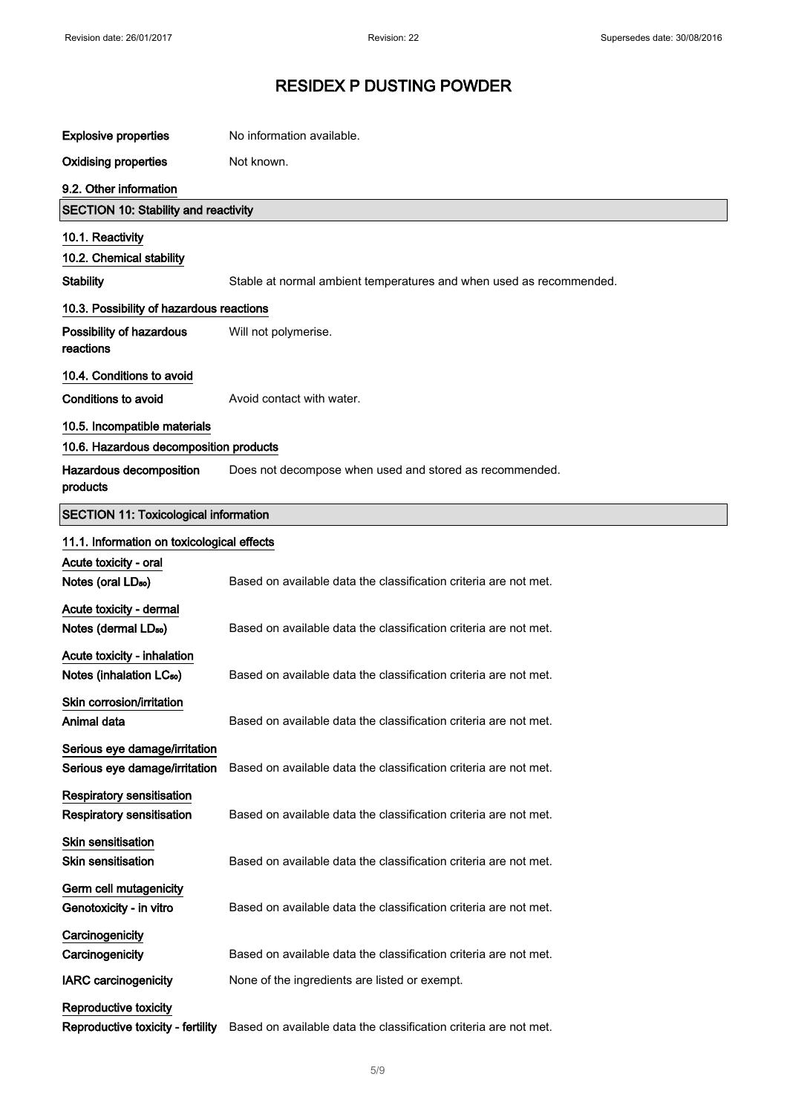| <b>Explosive properties</b>                                    | No information available.                                           |
|----------------------------------------------------------------|---------------------------------------------------------------------|
| <b>Oxidising properties</b>                                    | Not known.                                                          |
| 9.2. Other information                                         |                                                                     |
| <b>SECTION 10: Stability and reactivity</b>                    |                                                                     |
| 10.1. Reactivity                                               |                                                                     |
| 10.2. Chemical stability                                       |                                                                     |
| <b>Stability</b>                                               | Stable at normal ambient temperatures and when used as recommended. |
| 10.3. Possibility of hazardous reactions                       |                                                                     |
| Possibility of hazardous<br>reactions                          | Will not polymerise.                                                |
| 10.4. Conditions to avoid                                      |                                                                     |
| Conditions to avoid                                            | Avoid contact with water.                                           |
| 10.5. Incompatible materials                                   |                                                                     |
| 10.6. Hazardous decomposition products                         |                                                                     |
| Hazardous decomposition<br>products                            | Does not decompose when used and stored as recommended.             |
| <b>SECTION 11: Toxicological information</b>                   |                                                                     |
| 11.1. Information on toxicological effects                     |                                                                     |
| Acute toxicity - oral                                          |                                                                     |
| Notes (oral LD <sub>50</sub> )                                 | Based on available data the classification criteria are not met.    |
| Acute toxicity - dermal                                        |                                                                     |
| Notes (dermal LD <sub>50</sub> )                               | Based on available data the classification criteria are not met.    |
| Acute toxicity - inhalation                                    |                                                                     |
| Notes (inhalation LC <sub>50</sub> )                           | Based on available data the classification criteria are not met.    |
| Skin corrosion/irritation                                      |                                                                     |
| Animal data                                                    | Based on available data the classification criteria are not met.    |
| Serious eye damage/irritation<br>Serious eye damage/irritation | Based on available data the classification criteria are not met.    |
| Respiratory sensitisation<br>Respiratory sensitisation         | Based on available data the classification criteria are not met.    |
| <b>Skin sensitisation</b><br><b>Skin sensitisation</b>         | Based on available data the classification criteria are not met.    |
| Germ cell mutagenicity<br>Genotoxicity - in vitro              | Based on available data the classification criteria are not met.    |
| Carcinogenicity                                                |                                                                     |
| Carcinogenicity                                                | Based on available data the classification criteria are not met.    |
| <b>IARC</b> carcinogenicity                                    | None of the ingredients are listed or exempt.                       |
| Reproductive toxicity<br>Reproductive toxicity - fertility     | Based on available data the classification criteria are not met.    |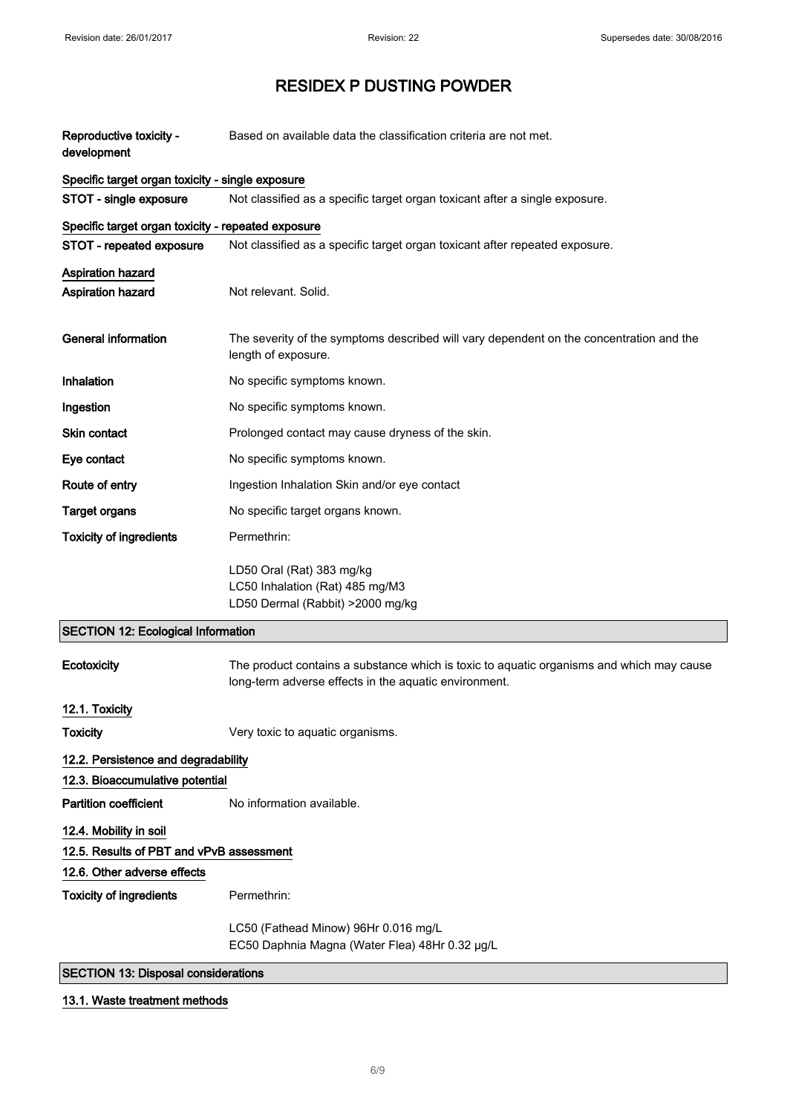| Reproductive toxicity -<br>development             | Based on available data the classification criteria are not met.                                                                                  |  |
|----------------------------------------------------|---------------------------------------------------------------------------------------------------------------------------------------------------|--|
| Specific target organ toxicity - single exposure   |                                                                                                                                                   |  |
| STOT - single exposure                             | Not classified as a specific target organ toxicant after a single exposure.                                                                       |  |
| Specific target organ toxicity - repeated exposure |                                                                                                                                                   |  |
| STOT - repeated exposure                           | Not classified as a specific target organ toxicant after repeated exposure.                                                                       |  |
| <b>Aspiration hazard</b><br>Aspiration hazard      | Not relevant. Solid.                                                                                                                              |  |
| <b>General information</b>                         | The severity of the symptoms described will vary dependent on the concentration and the<br>length of exposure.                                    |  |
| Inhalation                                         | No specific symptoms known.                                                                                                                       |  |
| Ingestion                                          | No specific symptoms known.                                                                                                                       |  |
| <b>Skin contact</b>                                | Prolonged contact may cause dryness of the skin.                                                                                                  |  |
| Eye contact                                        | No specific symptoms known.                                                                                                                       |  |
| Route of entry                                     | Ingestion Inhalation Skin and/or eye contact                                                                                                      |  |
| <b>Target organs</b>                               | No specific target organs known.                                                                                                                  |  |
| <b>Toxicity of ingredients</b>                     | Permethrin:                                                                                                                                       |  |
|                                                    | LD50 Oral (Rat) 383 mg/kg<br>LC50 Inhalation (Rat) 485 mg/M3<br>LD50 Dermal (Rabbit) >2000 mg/kg                                                  |  |
| <b>SECTION 12: Ecological Information</b>          |                                                                                                                                                   |  |
| Ecotoxicity                                        | The product contains a substance which is toxic to aquatic organisms and which may cause<br>long-term adverse effects in the aquatic environment. |  |
| 12.1. Toxicity                                     |                                                                                                                                                   |  |
| <b>Toxicity</b>                                    | Very toxic to aquatic organisms.                                                                                                                  |  |
| 12.2. Persistence and degradability                |                                                                                                                                                   |  |
| 12.3. Bioaccumulative potential                    |                                                                                                                                                   |  |
| <b>Partition coefficient</b>                       | No information available.                                                                                                                         |  |
| 12.4. Mobility in soil                             |                                                                                                                                                   |  |
| 12.5. Results of PBT and vPvB assessment           |                                                                                                                                                   |  |
| 12.6. Other adverse effects                        |                                                                                                                                                   |  |
| <b>Toxicity of ingredients</b>                     | Permethrin:                                                                                                                                       |  |
|                                                    | LC50 (Fathead Minow) 96Hr 0.016 mg/L<br>EC50 Daphnia Magna (Water Flea) 48Hr 0.32 µg/L                                                            |  |
| <b>SECTION 13: Disposal considerations</b>         |                                                                                                                                                   |  |

# 13.1. Waste treatment methods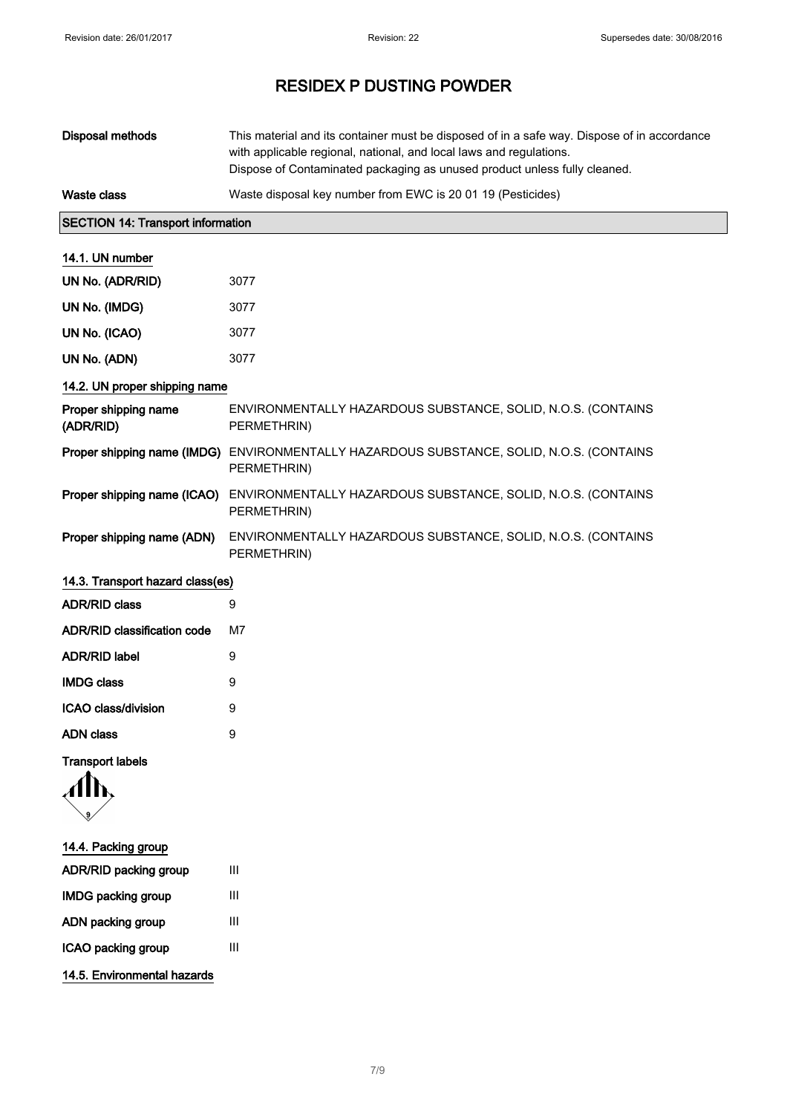| <b>Disposal methods</b>                  | This material and its container must be disposed of in a safe way. Dispose of in accordance<br>with applicable regional, national, and local laws and regulations.<br>Dispose of Contaminated packaging as unused product unless fully cleaned. |
|------------------------------------------|-------------------------------------------------------------------------------------------------------------------------------------------------------------------------------------------------------------------------------------------------|
| <b>Waste class</b>                       | Waste disposal key number from EWC is 20 01 19 (Pesticides)                                                                                                                                                                                     |
| <b>SECTION 14: Transport information</b> |                                                                                                                                                                                                                                                 |
| 14.1. UN number                          |                                                                                                                                                                                                                                                 |
| UN No. (ADR/RID)                         | 3077                                                                                                                                                                                                                                            |
| UN No. (IMDG)                            | 3077                                                                                                                                                                                                                                            |
| UN No. (ICAO)                            | 3077                                                                                                                                                                                                                                            |
| UN No. (ADN)                             | 3077                                                                                                                                                                                                                                            |
| 14.2. UN proper shipping name            |                                                                                                                                                                                                                                                 |
| Proper shipping name<br>(ADR/RID)        | ENVIRONMENTALLY HAZARDOUS SUBSTANCE, SOLID, N.O.S. (CONTAINS<br>PERMETHRIN)                                                                                                                                                                     |
| Proper shipping name (IMDG)              | ENVIRONMENTALLY HAZARDOUS SUBSTANCE, SOLID, N.O.S. (CONTAINS<br>PERMETHRIN)                                                                                                                                                                     |
|                                          | Proper shipping name (ICAO) ENVIRONMENTALLY HAZARDOUS SUBSTANCE, SOLID, N.O.S. (CONTAINS<br>PERMETHRIN)                                                                                                                                         |
| Proper shipping name (ADN)               | ENVIRONMENTALLY HAZARDOUS SUBSTANCE, SOLID, N.O.S. (CONTAINS<br>PERMETHRIN)                                                                                                                                                                     |
| 14.3. Transport hazard class(es)         |                                                                                                                                                                                                                                                 |
| <b>ADR/RID class</b>                     | 9                                                                                                                                                                                                                                               |
| <b>ADR/RID classification code</b>       | M7                                                                                                                                                                                                                                              |
| <b>ADR/RID label</b>                     | 9                                                                                                                                                                                                                                               |
| <b>IMDG class</b>                        | 9                                                                                                                                                                                                                                               |
| ICAO class/division                      | 9                                                                                                                                                                                                                                               |
| <b>ADN</b> class                         | 9                                                                                                                                                                                                                                               |
| <b>Transport labels</b>                  |                                                                                                                                                                                                                                                 |
| 14.4. Packing group                      |                                                                                                                                                                                                                                                 |
| <b>ADR/RID packing group</b>             | Ш                                                                                                                                                                                                                                               |
| <b>IMDG packing group</b>                | Ш                                                                                                                                                                                                                                               |

14.5. Environmental hazards

ADN packing group III ICAO packing group III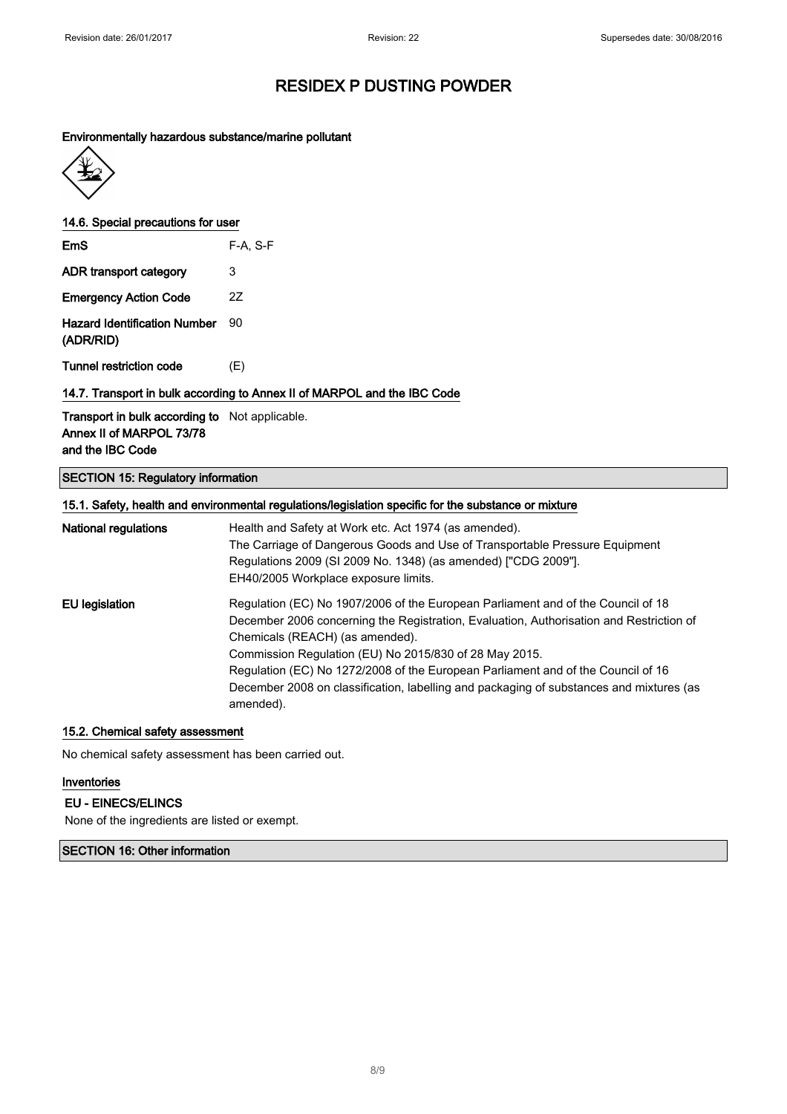#### Environmentally hazardous substance/marine pollutant



14.6. Special precautions for user

| EmS                                              | $F-A, S-F$ |
|--------------------------------------------------|------------|
| ADR transport category                           | 3          |
| <b>Emergency Action Code</b>                     | 27         |
| <b>Hazard Identification Number</b><br>(ADR/RID) | 90         |

Tunnel restriction code (E)

### 14.7. Transport in bulk according to Annex II of MARPOL and the IBC Code

Transport in bulk according to Not applicable. Annex II of MARPOL 73/78 and the IBC Code

### SECTION 15: Regulatory information

| 15.1. Safety, health and environmental regulations/legislation specific for the substance or mixture |                                                                                                      |  |
|------------------------------------------------------------------------------------------------------|------------------------------------------------------------------------------------------------------|--|
| <b>National regulations</b>                                                                          | Health and Safety at Work etc. Act 1974 (as amended).                                                |  |
|                                                                                                      | The Carriage of Dangerous Goods and Use of Transportable Pressure Equipment                          |  |
|                                                                                                      | Regulations 2009 (SI 2009 No. 1348) (as amended) ["CDG 2009"].                                       |  |
|                                                                                                      | EH40/2005 Workplace exposure limits.                                                                 |  |
| <b>EU</b> legislation                                                                                | Regulation (EC) No 1907/2006 of the European Parliament and of the Council of 18                     |  |
|                                                                                                      | December 2006 concerning the Registration, Evaluation, Authorisation and Restriction of              |  |
|                                                                                                      | Chemicals (REACH) (as amended).                                                                      |  |
|                                                                                                      | Commission Regulation (EU) No 2015/830 of 28 May 2015.                                               |  |
|                                                                                                      | Regulation (EC) No 1272/2008 of the European Parliament and of the Council of 16                     |  |
|                                                                                                      | December 2008 on classification, labelling and packaging of substances and mixtures (as<br>amended). |  |

### 15.2. Chemical safety assessment

No chemical safety assessment has been carried out.

#### Inventories

### EU - EINECS/ELINCS

None of the ingredients are listed or exempt.

#### SECTION 16: Other information